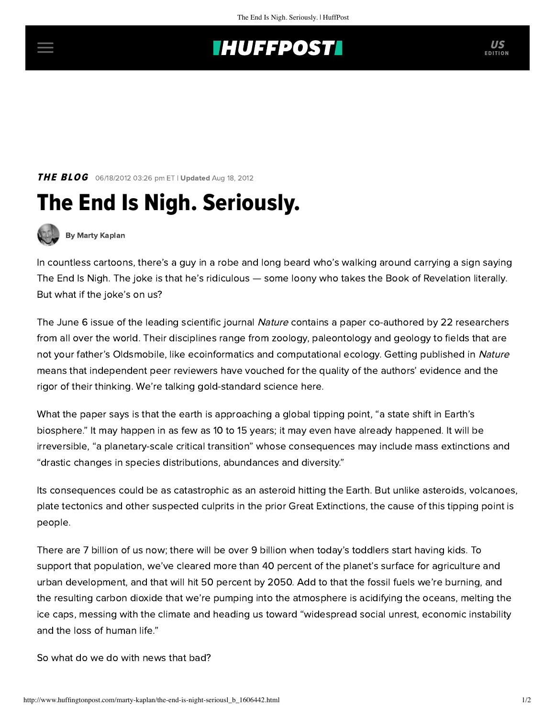## **INUFFPOSTI** US

**THE BLOG** 06/18/2012 03:26 pm ET | Updated Aug 18, 2012

## The End Is Nigh. Seriously.



[By Marty Kaplan](http://www.huffingtonpost.com/author/marty-kaplan)

In countless cartoons, there's a guy in a robe and long beard who's walking around carrying a sign saying The End Is Nigh. The joke is that he's ridiculous — some loony who takes the Book of Revelation literally. But what if the joke's on us?

TheJune 6 issue of the leading scientific journal Nature contains a [paper](http://www.nature.com/nature/journal/v486/n7401/full/nature11018.html) co-authored by 22 researchers from all over the world. Their disciplines range from zoology, paleontology and geology to fields that are not your father's Oldsmobile, like ecoinformatics and computational ecology. Getting published in Nature means that independent peer reviewers have vouched for the quality of the authors' evidence and the rigor of their thinking. We're talking gold-standard science here.

What the paper says is that the earth is approaching a global tipping point, "a state shift in Earth's biosphere." It may happen in as few as 10 to 15 years; it may even have [already happened](http://articles.latimes.com/2012/jun/07/local/la-me-0607-global-tipping-20120607). It will be irreversible, "a planetary-scale critical transition" whose consequences may include mass extinctions and "drastic changes in species distributions, abundances and diversity."

Its consequences could be as catastrophic as an asteroid hitting the Earth. But unlike asteroids, volcanoes, plate tectonics and other suspected culprits in the prior Great Extinctions, the cause of this tipping point is people.

There are 7 billion of us now; there will be over 9 billion when today's toddlers start having kids. To support that population, we've cleared more than 40 percent of the planet's surface for agriculture and urban development, and that will hit 50 percent by 2050. Add to that the fossil fuels we're burning, and the resulting carbon dioxide that we're pumping into the atmosphere is acidifying the oceans, melting the ice caps, messing with the climate and heading us toward "widespread social unrest, economic instability and the loss of human life."

So what do we do with news that bad?